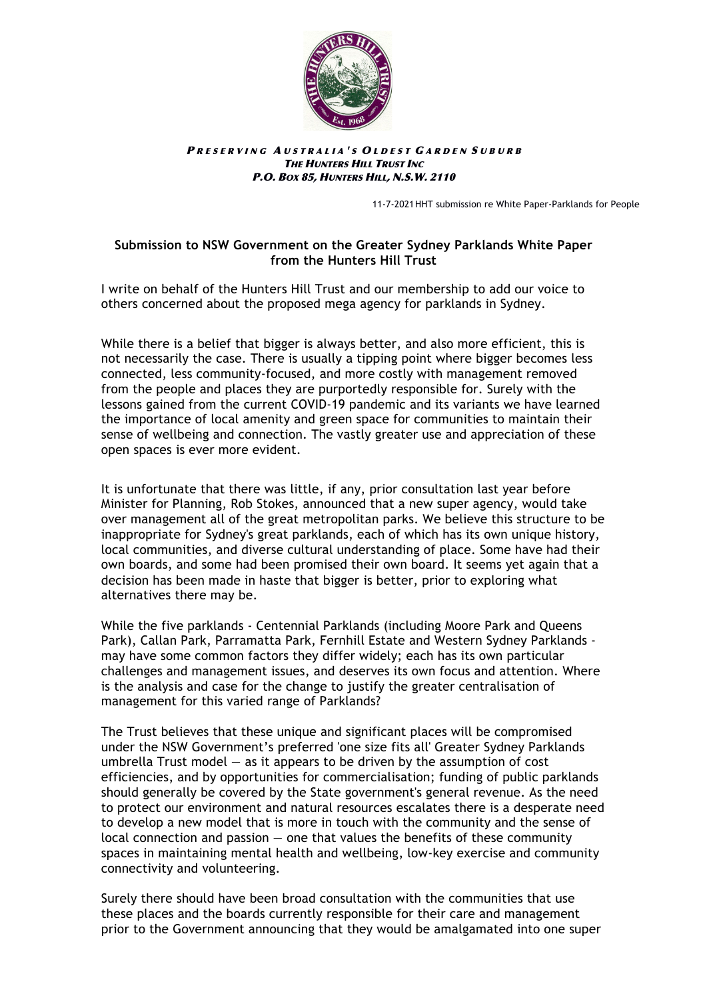

#### PRESERVING AUSTRALIA'S OLDEST GARDEN SUBURB **THE HUNTERS HILL TRUST INC** P.O. BOX 85, HUNTERS HILL, N.S.W. 2110

11-7-2021HHT submission re White Paper-Parklands for People

## **Submission to NSW Government on the Greater Sydney Parklands White Paper from the Hunters Hill Trust**

I write on behalf of the Hunters Hill Trust and our membership to add our voice to others concerned about the proposed mega agency for parklands in Sydney.

While there is a belief that bigger is always better, and also more efficient, this is not necessarily the case. There is usually a tipping point where bigger becomes less connected, less community-focused, and more costly with management removed from the people and places they are purportedly responsible for. Surely with the lessons gained from the current COVID-19 pandemic and its variants we have learned the importance of local amenity and green space for communities to maintain their sense of wellbeing and connection. The vastly greater use and appreciation of these open spaces is ever more evident.

It is unfortunate that there was little, if any, prior consultation last year before Minister for Planning, Rob Stokes, announced that a new super agency, would take over management all of the great metropolitan parks. We believe this structure to be inappropriate for Sydney's great parklands, each of which has its own unique history, local communities, and diverse cultural understanding of place. Some have had their own boards, and some had been promised their own board. It seems yet again that a decision has been made in haste that bigger is better, prior to exploring what alternatives there may be.

While the five parklands - Centennial Parklands (including Moore Park and Queens Park), Callan Park, Parramatta Park, Fernhill Estate and Western Sydney Parklands may have some common factors they differ widely; each has its own particular challenges and management issues, and deserves its own focus and attention. Where is the analysis and case for the change to justify the greater centralisation of management for this varied range of Parklands?

The Trust believes that these unique and significant places will be compromised under the NSW Government's preferred 'one size fits all' Greater Sydney Parklands umbrella Trust model — as it appears to be driven by the assumption of cost efficiencies, and by opportunities for commercialisation; funding of public parklands should generally be covered by the State government's general revenue. As the need to protect our environment and natural resources escalates there is a desperate need to develop a new model that is more in touch with the community and the sense of local connection and passion  $-$  one that values the benefits of these community spaces in maintaining mental health and wellbeing, low-key exercise and community connectivity and volunteering.

Surely there should have been broad consultation with the communities that use these places and the boards currently responsible for their care and management prior to the Government announcing that they would be amalgamated into one super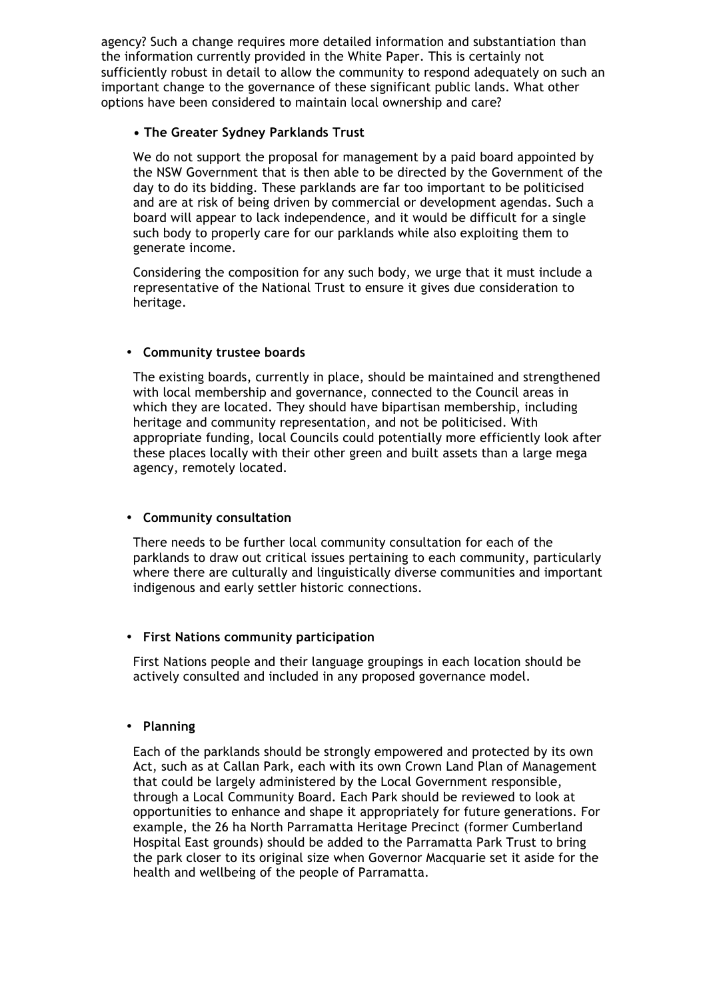agency? Such a change requires more detailed information and substantiation than the information currently provided in the White Paper. This is certainly not sufficiently robust in detail to allow the community to respond adequately on such an important change to the governance of these significant public lands. What other options have been considered to maintain local ownership and care?

## **• The Greater Sydney Parklands Trust**

We do not support the proposal for management by a paid board appointed by the NSW Government that is then able to be directed by the Government of the day to do its bidding. These parklands are far too important to be politicised and are at risk of being driven by commercial or development agendas. Such a board will appear to lack independence, and it would be difficult for a single such body to properly care for our parklands while also exploiting them to generate income.

Considering the composition for any such body, we urge that it must include a representative of the National Trust to ensure it gives due consideration to heritage.

# • **Community trustee boards**

The existing boards, currently in place, should be maintained and strengthened with local membership and governance, connected to the Council areas in which they are located. They should have bipartisan membership, including heritage and community representation, and not be politicised. With appropriate funding, local Councils could potentially more efficiently look after these places locally with their other green and built assets than a large mega agency, remotely located.

## • **Community consultation**

There needs to be further local community consultation for each of the parklands to draw out critical issues pertaining to each community, particularly where there are culturally and linguistically diverse communities and important indigenous and early settler historic connections.

## • **First Nations community participation**

First Nations people and their language groupings in each location should be actively consulted and included in any proposed governance model.

## • **Planning**

Each of the parklands should be strongly empowered and protected by its own Act, such as at Callan Park, each with its own Crown Land Plan of Management that could be largely administered by the Local Government responsible, through a Local Community Board. Each Park should be reviewed to look at opportunities to enhance and shape it appropriately for future generations. For example, the 26 ha North Parramatta Heritage Precinct (former Cumberland Hospital East grounds) should be added to the Parramatta Park Trust to bring the park closer to its original size when Governor Macquarie set it aside for the health and wellbeing of the people of Parramatta.